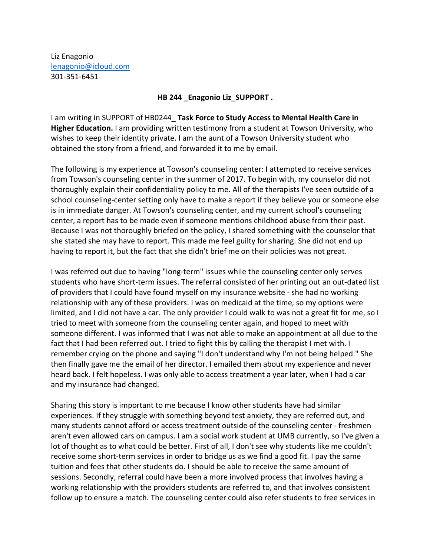Liz Enagonio lenagonio@icloud.com 301-351-6451

## **HB 244 Enagonio Liz SUPPORT.**

I am writing in SUPPORT of HB0244\_ **Task Force to Study Access to Mental Health Care in Higher Education.** I am providing written testimony from a student at Towson University, who wishes to keep their identity private. I am the aunt of a Towson University student who obtained the story from a friend, and forwarded it to me by email.

The following is my experience at Towson's counseling center: I attempted to receive services from Towson's counseling center in the summer of 2017. To begin with, my counselor did not thoroughly explain their confidentiality policy to me. All of the therapists I've seen outside of a school counseling-center setting only have to make a report if they believe you or someone else is in immediate danger. At Towson's counseling center, and my current school's counseling center, a report has to be made even if someone mentions childhood abuse from their past. Because I was not thoroughly briefed on the policy, I shared something with the counselor that she stated she may have to report. This made me feel guilty for sharing. She did not end up having to report it, but the fact that she didn't brief me on their policies was not great.

I was referred out due to having "long-term" issues while the counseling center only serves students who have short-term issues. The referral consisted of her printing out an out-dated list of providers that I could have found myself on my insurance website - she had no working relationship with any of these providers. I was on medicaid at the time, so my options were limited, and I did not have a car. The only provider I could walk to was not a great fit for me, so I tried to meet with someone from the counseling center again, and hoped to meet with someone different. I was informed that I was not able to make an appointment at all due to the fact that I had been referred out. I tried to fight this by calling the therapist I met with. I remember crying on the phone and saying "I don't understand why I'm not being helped." She then finally gave me the email of her director. I emailed them about my experience and never heard back. I felt hopeless. I was only able to access treatment a year later, when I had a car and my insurance had changed.

Sharing this story is important to me because I know other students have had similar experiences. If they struggle with something beyond test anxiety, they are referred out, and many students cannot afford or access treatment outside of the counseling center - freshmen aren't even allowed cars on campus. I am a social work student at UMB currently, so I've given a lot of thought as to what could be better. First of all, I don't see why students like me couldn't receive some short-term services in order to bridge us as we find a good fit. I pay the same tuition and fees that other students do. I should be able to receive the same amount of sessions. Secondly, referral could have been a more involved process that involves having a working relationship with the providers students are referred to, and that involves consistent follow up to ensure a match. The counseling center could also refer students to free services in